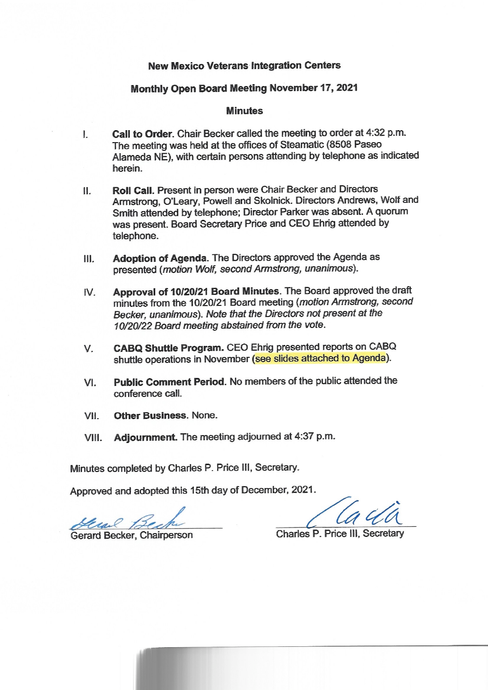#### **New Mexico Veterans Integration Centers**

#### Monthly Open Board Meeting November 17, 2021

#### **Minutes**

- Call to Order. Chair Becker called the meeting to order at 4:32 p.m.  $\mathbf{L}$ The meeting was held at the offices of Steamatic (8508 Paseo Alameda NE), with certain persons attending by telephone as indicated herein.
- Roll Call. Present in person were Chair Becker and Directors  $II.$ Armstrong, O'Leary, Powell and Skolnick. Directors Andrews, Wolf and Smith attended by telephone; Director Parker was absent. A quorum was present. Board Secretary Price and CEO Ehrig attended by telephone.
- Adoption of Agenda. The Directors approved the Agenda as  $III.$ presented (motion Wolf, second Armstrong, unanimous).
- Approval of 10/20/21 Board Minutes. The Board approved the draft IV. minutes from the 10/20/21 Board meeting (motion Armstrong, second Becker, unanimous). Note that the Directors not present at the 10/20/22 Board meeting abstained from the vote.
- CABQ Shuttle Program. CEO Ehrig presented reports on CABQ V. shuttle operations in November (see slides attached to Agenda).
- Public Comment Period. No members of the public attended the  $VI.$ conference call.
- **Other Business, None.** VII.
- VIII. Adjournment. The meeting adjourned at 4:37 p.m.

Minutes completed by Charles P. Price III, Secretary.

Approved and adopted this 15th day of December, 2021.

Grand

Gerard Becker, Chairperson

Charles P. Price III, Secretary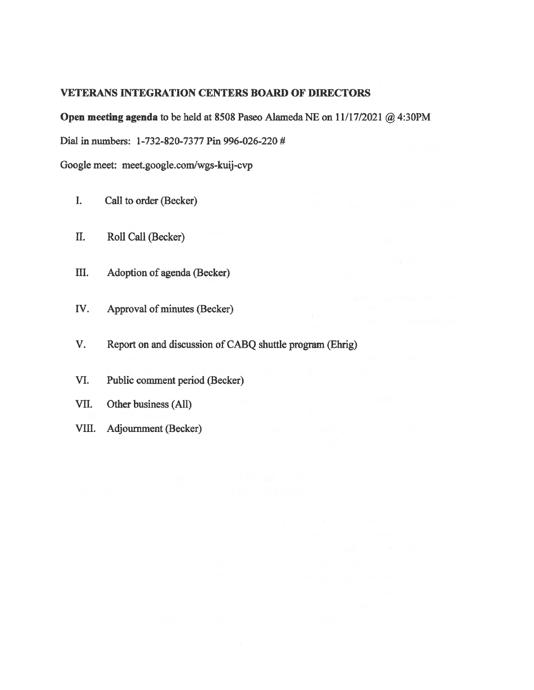#### **VETERANS INTEGRATION CENTERS BOARD OF DIRECTORS**

Open meeting agenda to be held at 8508 Paseo Alameda NE on 11/17/2021 @ 4:30PM

Dial in numbers: 1-732-820-7377 Pin 996-026-220 #

Google meet: meet.google.com/wgs-kuij-cvp

- $\mathbf{I}$ Call to order (Becker)
- Roll Call (Becker) II.
- Ш. Adoption of agenda (Becker)
- IV. Approval of minutes (Becker)
- Report on and discussion of CABQ shuttle program (Ehrig) V.
- VI. Public comment period (Becker)
- Other business (All) VII.
- VIII. **Adjournment (Becker)**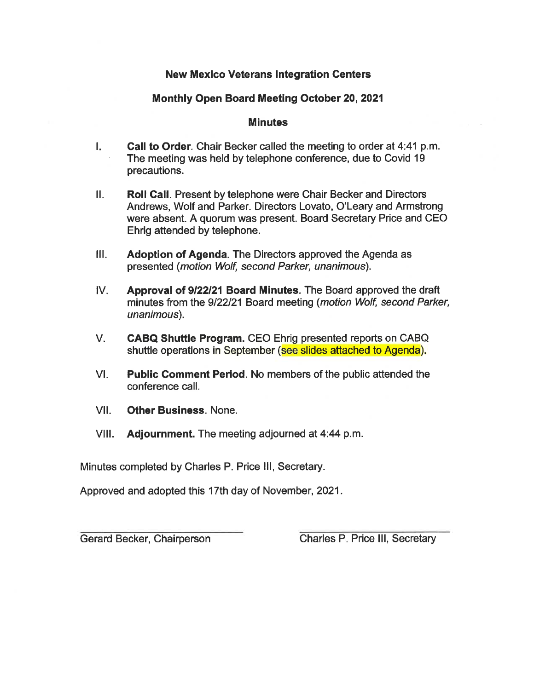#### **New Mexico Veterans Integration Centers**

#### Monthly Open Board Meeting October 20, 2021

#### **Minutes**

- Call to Order. Chair Becker called the meeting to order at 4:41 p.m. L. The meeting was held by telephone conference, due to Covid 19 precautions.
- $\Pi$ . **Roll Call.** Present by telephone were Chair Becker and Directors Andrews, Wolf and Parker. Directors Lovato, O'Leary and Armstrong were absent. A quorum was present. Board Secretary Price and CEO Ehrig attended by telephone.
- $III.$ Adoption of Agenda. The Directors approved the Agenda as presented (motion Wolf, second Parker, unanimous).
- $IV.$ Approval of 9/22/21 Board Minutes. The Board approved the draft minutes from the 9/22/21 Board meeting (motion Wolf, second Parker, unanimous).
- $V_{\cdot}$ **CABQ Shuttle Program.** CEO Ehrig presented reports on CABQ shuttle operations in September (see slides attached to Agenda).
- $VI.$ **Public Comment Period.** No members of the public attended the conference call.
- VII. **Other Business, None.**
- VIII. **Adjournment.** The meeting adjourned at 4:44 p.m.

Minutes completed by Charles P. Price III, Secretary.

Approved and adopted this 17th day of November, 2021.

Gerard Becker, Chairperson

Charles P. Price III, Secretary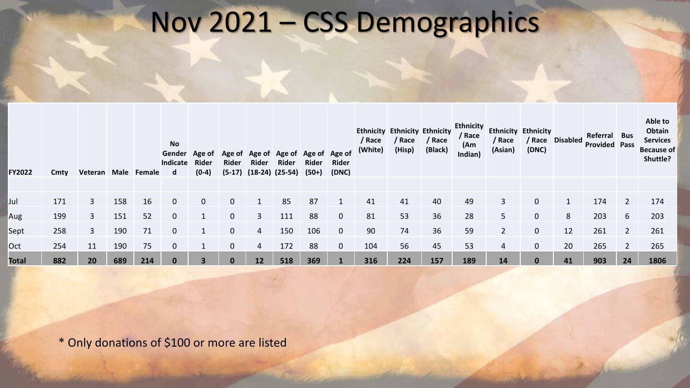### Nov 2021 – CSS Demographics

| <b>FY2022</b> | Cmty | Veteran Male |     | Female | <b>No</b><br>Indicate<br>d | Gender Age of<br><b>Rider</b><br>$(0-4)$ | Rider<br>$(5-17)$ | Age of Age of Age of Age of Age of<br><b>Rider</b><br>$(18-24)$ $(25-54)$ | <b>Rider</b> | Rider<br>(50+) | <b>Rider</b><br>(DNC) | / Race<br>(White) | <b>Ethnicity Ethnicity Ethnicity</b><br>/ Race<br>(Hisp) | / Race<br>(Black) | <b>Ethnicity</b><br>/ Race<br>(Am)<br>Indian) | / Race<br>(Asian) | <b>Ethnicity Ethnicity</b><br>/ Race<br>(DNC) | <b>Disabled</b> | Referral<br><b>Provided Pass</b> | <b>Bus</b> | Able to<br><b>Obtain</b><br><b>Services</b><br><b>Because of</b><br>Shuttle? |
|---------------|------|--------------|-----|--------|----------------------------|------------------------------------------|-------------------|---------------------------------------------------------------------------|--------------|----------------|-----------------------|-------------------|----------------------------------------------------------|-------------------|-----------------------------------------------|-------------------|-----------------------------------------------|-----------------|----------------------------------|------------|------------------------------------------------------------------------------|
|               |      |              |     |        |                            |                                          |                   |                                                                           |              |                |                       |                   |                                                          |                   |                                               |                   |                                               |                 |                                  |            |                                                                              |
| IJul          | 171  | 3            | 158 | 16     | $\mathbf 0$                | $\mathbf{0}$                             | 0                 |                                                                           | 85           | 87             |                       | 41                | 41                                                       | 40                | 49                                            |                   |                                               |                 | 174                              |            | 174                                                                          |
| Aug           | 199  | 3            | 151 | 52     | $\mathbf 0$                |                                          | 0                 | 3                                                                         | 111          | 88             | $\mathbf 0$           | 81                | 53                                                       | 36                | 28                                            | 5                 | $\mathbf 0$                                   | 8               | 203                              | 6          | 203                                                                          |
| Sept          | 258  | 3            | 190 | 71     | 0                          |                                          | 0                 | 4                                                                         | 150          | 106            | $\mathbf 0$           | 90                | 74                                                       | 36                | 59                                            | $\overline{2}$    | 0                                             | 12              | 261                              |            | 261                                                                          |
| Oct           | 254  | 11           | 190 | 75     | $\mathbf 0$                |                                          | 0                 | 4                                                                         | 172          | 88             | $\mathbf 0$           | 104               | 56                                                       | 45                | 53                                            | 4                 | $\mathbf 0$                                   | 20              | 265                              |            | 265                                                                          |
| <b>Total</b>  | 882  | 20           | 689 | 214    | $\bf{0}$                   |                                          |                   | 12                                                                        | 518          | 369            |                       | 316               | 224                                                      | 157               | 189                                           | 14                |                                               | 41              | 903                              | 24         | 1806                                                                         |

\* Only donations of \$100 or more are listed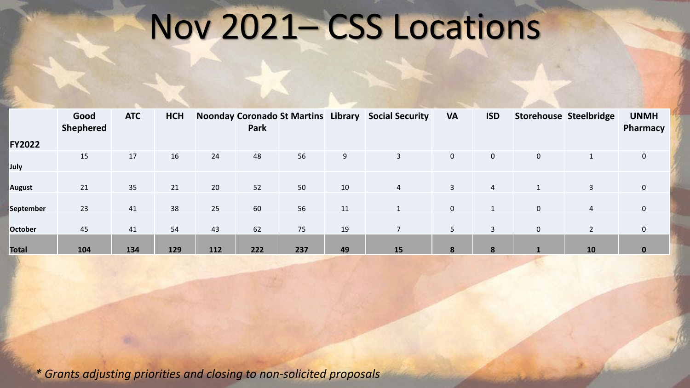## Nov 2021– CSS Locations

|                  | Good<br><b>Shephered</b> | <b>ATC</b> | <b>HCH</b> |     | Park |     |    | Noonday Coronado St Martins Library Social Security | <b>VA</b>      | <b>ISD</b>     |              | Storehouse Steelbridge | <b>UNMH</b><br>Pharmacy |
|------------------|--------------------------|------------|------------|-----|------|-----|----|-----------------------------------------------------|----------------|----------------|--------------|------------------------|-------------------------|
| <b>FY2022</b>    |                          |            |            |     |      |     |    |                                                     |                |                |              |                        |                         |
| July             | 15                       | 17         | 16         | 24  | 48   | 56  | 9  | $\mathbf{3}$                                        | $\mathbf 0$    | $\mathbf 0$    | $\mathbf 0$  |                        | 0                       |
| <b>August</b>    | 21                       | 35         | 21         | 20  | 52   | 50  | 10 | $\overline{4}$                                      | 3              | $\overline{4}$ |              | 3                      | $\mathbf 0$             |
| <b>September</b> | 23                       | 41         | 38         | 25  | 60   | 56  | 11 |                                                     | $\overline{0}$ |                | $\pmb{0}$    | $\overline{4}$         | $\mathbf 0$             |
| <b>October</b>   | 45                       | 41         | 54         | 43  | 62   | 75  | 19 | $\overline{7}$                                      | 5              | 3              | $\mathbf 0$  | $\overline{2}$         | $\mathbf 0$             |
| <b>Total</b>     | 104                      | 134        | 129        | 112 | 222  | 237 | 49 | 15                                                  | 8              | 8              | $\mathbf{1}$ | 10                     | $\bf{0}$                |

*\* Grants adjusting priorities and closing to non-solicited proposals*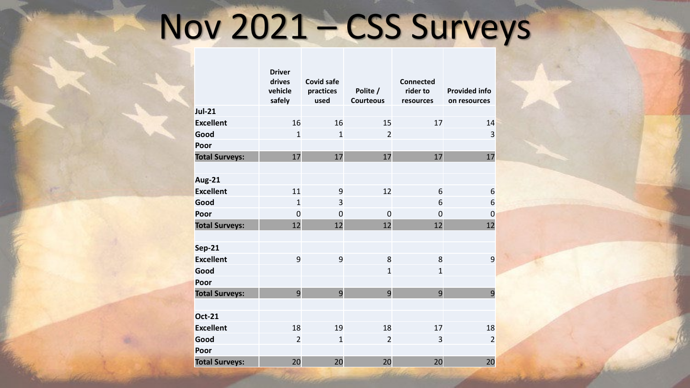# Nov 2021 – CSS Surveys

|                       | <b>Driver</b><br>drives<br>vehicle<br>safely | <b>Covid safe</b><br>practices<br>used | Polite /<br><b>Courteous</b> | <b>Connected</b><br>rider to<br>resources | <b>Provided info</b><br>on resources |
|-----------------------|----------------------------------------------|----------------------------------------|------------------------------|-------------------------------------------|--------------------------------------|
| <b>Jul-21</b>         |                                              |                                        |                              |                                           |                                      |
| <b>Excellent</b>      | 16                                           | 16                                     | 15                           | 17                                        | 14                                   |
| Good                  | $\mathbf{1}$                                 | $\mathbf{1}$                           | $\overline{2}$               |                                           | 3                                    |
| Poor                  |                                              |                                        |                              |                                           |                                      |
| <b>Total Surveys:</b> | 17                                           | 17                                     | 17                           | 17                                        | 17                                   |
|                       |                                              |                                        |                              |                                           |                                      |
| <b>Aug-21</b>         |                                              |                                        |                              |                                           |                                      |
| <b>Excellent</b>      | 11                                           | 9                                      | 12                           | 6                                         | 6                                    |
| Good                  | $\mathbf{1}$                                 | 3                                      |                              | 6                                         | 6                                    |
| Poor                  | $\mathbf 0$                                  | $\mathbf 0$                            | $\mathbf 0$                  | $\mathbf 0$                               | $\mathbf 0$                          |
| <b>Total Surveys:</b> | 12                                           | 12                                     | 12                           | 12                                        | 12                                   |
|                       |                                              |                                        |                              |                                           |                                      |
| <b>Sep-21</b>         |                                              |                                        |                              |                                           |                                      |
| <b>Excellent</b>      | 9                                            | 9                                      | 8                            | 8                                         | 9                                    |
| Good                  |                                              |                                        | $\mathbf{1}$                 | $\overline{1}$                            |                                      |
| Poor                  |                                              |                                        |                              |                                           |                                      |
| <b>Total Surveys:</b> | $\overline{9}$                               | $\overline{9}$                         | $\overline{9}$               | $\overline{9}$                            | $\overline{9}$                       |
|                       |                                              |                                        |                              |                                           |                                      |
| <b>Oct-21</b>         |                                              |                                        |                              |                                           |                                      |
| <b>Excellent</b>      | 18                                           | 19                                     | 18                           | 17                                        | 18                                   |
| Good                  | $\overline{2}$                               | $\mathbf{1}$                           | $\overline{2}$               | 3                                         | $\overline{2}$                       |
| Poor                  |                                              |                                        |                              |                                           |                                      |
| <b>Total Surveys:</b> | 20                                           | 20                                     | 20                           | 20                                        | 20                                   |